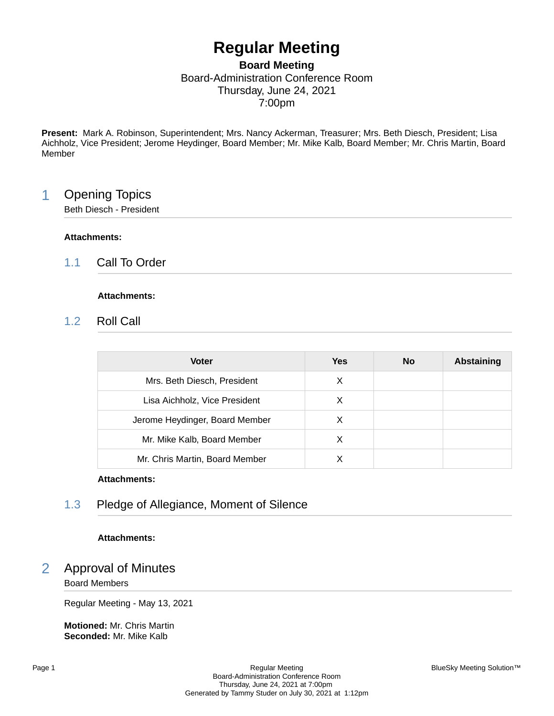# **Regular Meeting**

## **Board Meeting** Board-Administration Conference Room Thursday, June 24, 2021 7:00pm

**Present:** Mark A. Robinson, Superintendent; Mrs. Nancy Ackerman, Treasurer; Mrs. Beth Diesch, President; Lisa Aichholz, Vice President; Jerome Heydinger, Board Member; Mr. Mike Kalb, Board Member; Mr. Chris Martin, Board Member

# 1 Opening Topics

Beth Diesch - President

## **Attachments:**

1.1 Call To Order

## **Attachments:**

1.2 Roll Call

| <b>Voter</b>                   | Yes | <b>No</b> | <b>Abstaining</b> |
|--------------------------------|-----|-----------|-------------------|
| Mrs. Beth Diesch, President    | X   |           |                   |
| Lisa Aichholz, Vice President  | X   |           |                   |
| Jerome Heydinger, Board Member | X   |           |                   |
| Mr. Mike Kalb, Board Member    | X   |           |                   |
| Mr. Chris Martin, Board Member |     |           |                   |

## **Attachments:**

# 1.3 Pledge of Allegiance, Moment of Silence

## **Attachments:**

# 2 Approval of Minutes

## Board Members

Regular Meeting - May 13, 2021

**Motioned:** Mr. Chris Martin **Seconded:** Mr. Mike Kalb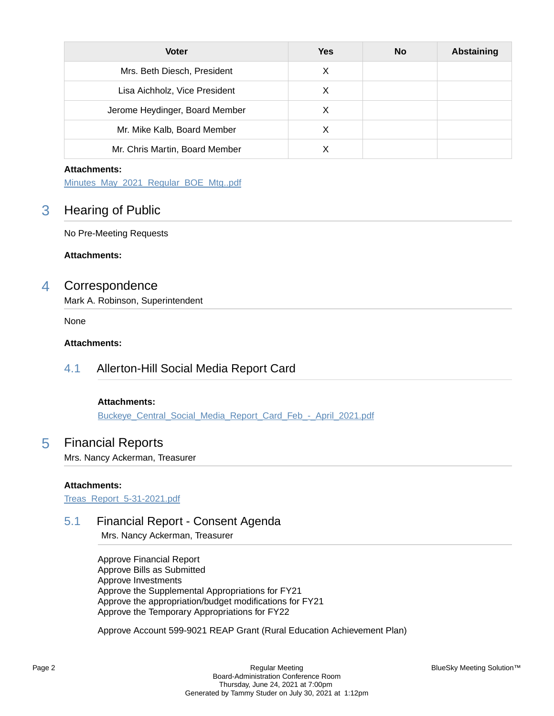| <b>Voter</b>                   | <b>Yes</b> | <b>No</b> | Abstaining |
|--------------------------------|------------|-----------|------------|
| Mrs. Beth Diesch, President    | X          |           |            |
| Lisa Aichholz, Vice President  | X          |           |            |
| Jerome Heydinger, Board Member | х          |           |            |
| Mr. Mike Kalb, Board Member    | X          |           |            |
| Mr. Chris Martin, Board Member |            |           |            |

[Minutes\\_May\\_2021\\_Regular\\_BOE\\_Mtg..pdf](https://bcbucks.blueskymeeting.com/meeting_groups/32/item_attachments/58131)

# 3 Hearing of Public

No Pre-Meeting Requests

**Attachments:**

## 4 Correspondence

Mark A. Robinson, Superintendent

None

## **Attachments:**

# 4.1 Allerton-Hill Social Media Report Card

## **Attachments:**

Buckeye\_Central\_Social\_Media\_Report\_Card\_Feb - April\_2021.pdf

## 5 Financial Reports

Mrs. Nancy Ackerman, Treasurer

## **Attachments:**

[Treas\\_Report\\_5-31-2021.pdf](https://bcbucks.blueskymeeting.com/meeting_groups/32/item_attachments/59038)

## 5.1 Financial Report - Consent Agenda

Mrs. Nancy Ackerman, Treasurer

Approve Financial Report Approve Bills as Submitted Approve Investments Approve the Supplemental Appropriations for FY21 Approve the appropriation/budget modifications for FY21 Approve the Temporary Appropriations for FY22

Approve Account 599-9021 REAP Grant (Rural Education Achievement Plan)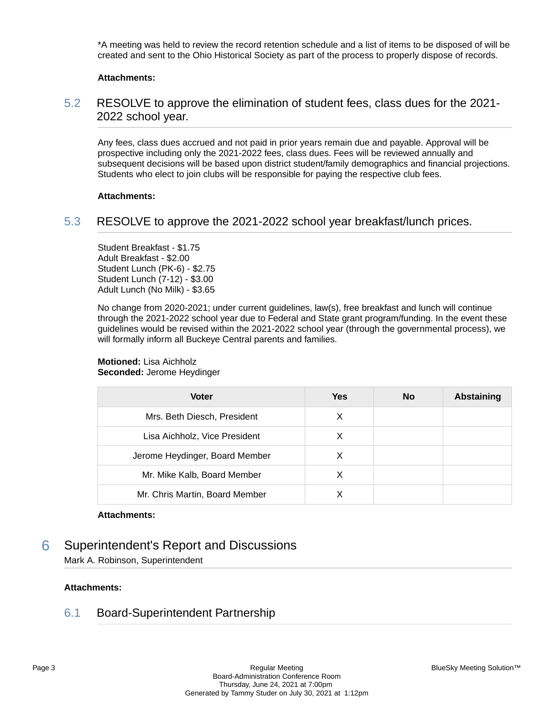\*A meeting was held to review the record retention schedule and a list of items to be disposed of will be created and sent to the Ohio Historical Society as part of the process to properly dispose of records.

#### **Attachments:**

## 5.2 RESOLVE to approve the elimination of student fees, class dues for the 2021- 2022 school year.

Any fees, class dues accrued and not paid in prior years remain due and payable. Approval will be prospective including only the 2021-2022 fees, class dues. Fees will be reviewed annually and subsequent decisions will be based upon district student/family demographics and financial projections. Students who elect to join clubs will be responsible for paying the respective club fees.

#### **Attachments:**

## 5.3 RESOLVE to approve the 2021-2022 school year breakfast/lunch prices.

Student Breakfast - \$1.75 Adult Breakfast - \$2.00 Student Lunch (PK-6) - \$2.75 Student Lunch (7-12) - \$3.00 Adult Lunch (No Milk) - \$3.65

No change from 2020-2021; under current guidelines, law(s), free breakfast and lunch will continue through the 2021-2022 school year due to Federal and State grant program/funding. In the event these guidelines would be revised within the 2021-2022 school year (through the governmental process), we will formally inform all Buckeye Central parents and families.

#### **Motioned:** Lisa Aichholz **Seconded:** Jerome Heydinger

| <b>Voter</b>                   | Yes | <b>No</b> | Abstaining |
|--------------------------------|-----|-----------|------------|
| Mrs. Beth Diesch, President    | X   |           |            |
| Lisa Aichholz, Vice President  | х   |           |            |
| Jerome Heydinger, Board Member | X   |           |            |
| Mr. Mike Kalb, Board Member    | X   |           |            |
| Mr. Chris Martin, Board Member |     |           |            |

#### **Attachments:**

# 6 Superintendent's Report and Discussions

Mark A. Robinson, Superintendent

## **Attachments:**

## 6.1 Board-Superintendent Partnership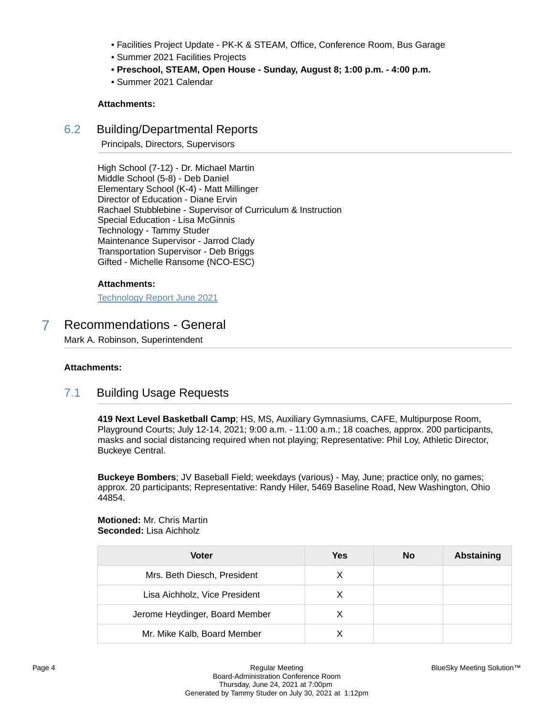- Facilities Project Update PK-K & STEAM, Office, Conference Room, Bus Garage
- Summer 2021 Facilities Projects
- **Preschool, STEAM, Open House Sunday, August 8; 1:00 p.m. 4:00 p.m.**
- Summer 2021 Calendar

## 6.2 Building/Departmental Reports

Principals, Directors, Supervisors

High School (7-12) - Dr. Michael Martin Middle School (5-8) - Deb Daniel Elementary School (K-4) - Matt Millinger Director of Education - Diane Ervin Rachael Stubblebine - Supervisor of Curriculum & Instruction Special Education - Lisa McGinnis Technology - Tammy Studer Maintenance Supervisor - Jarrod Clady Transportation Supervisor - Deb Briggs Gifted - Michelle Ransome (NCO-ESC)

## **Attachments:**

[Technology Report June 2021](https://bcbucks.blueskymeeting.com/meeting_groups/32/item_attachments/58737)

# 7 Recommendations - General

Mark A. Robinson, Superintendent

#### **Attachments:**

## 7.1 Building Usage Requests

**419 Next Level Basketball Camp**; HS, MS, Auxiliary Gymnasiums, CAFE, Multipurpose Room, Playground Courts; July 12-14, 2021; 9:00 a.m. - 11:00 a.m.; 18 coaches, approx. 200 participants, masks and social distancing required when not playing; Representative: Phil Loy, Athletic Director, Buckeye Central.

**Buckeye Bombers**; JV Baseball Field; weekdays (various) - May, June; practice only, no games; approx. 20 participants; Representative: Randy Hiler, 5469 Baseline Road, New Washington, Ohio 44854.

**Motioned:** Mr. Chris Martin **Seconded:** Lisa Aichholz

| <b>Voter</b>                   | Yes | No | <b>Abstaining</b> |
|--------------------------------|-----|----|-------------------|
| Mrs. Beth Diesch, President    | X   |    |                   |
| Lisa Aichholz, Vice President  | X   |    |                   |
| Jerome Heydinger, Board Member | X   |    |                   |
| Mr. Mike Kalb, Board Member    |     |    |                   |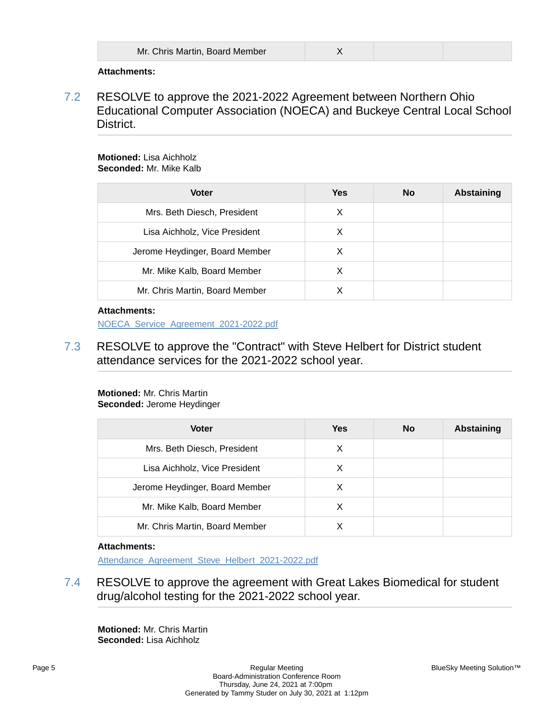| Mr. Chris Martin, Board Member |  |
|--------------------------------|--|
|                                |  |

7.2 RESOLVE to approve the 2021-2022 Agreement between Northern Ohio Educational Computer Association (NOECA) and Buckeye Central Local School District.

#### **Motioned:** Lisa Aichholz **Seconded:** Mr. Mike Kalb

| <b>Voter</b>                   | <b>Yes</b> | <b>No</b> | <b>Abstaining</b> |
|--------------------------------|------------|-----------|-------------------|
| Mrs. Beth Diesch, President    | X          |           |                   |
| Lisa Aichholz, Vice President  | X          |           |                   |
| Jerome Heydinger, Board Member | х          |           |                   |
| Mr. Mike Kalb, Board Member    | x          |           |                   |
| Mr. Chris Martin, Board Member |            |           |                   |

## **Attachments:**

[NOECA\\_Service\\_Agreement\\_2021-2022.pdf](https://bcbucks.blueskymeeting.com/meeting_groups/32/item_attachments/58334)

7.3 RESOLVE to approve the "Contract" with Steve Helbert for District student attendance services for the 2021-2022 school year.

#### **Motioned:** Mr. Chris Martin **Seconded:** Jerome Heydinger

| <b>Voter</b>                   | Yes | <b>No</b> | <b>Abstaining</b> |
|--------------------------------|-----|-----------|-------------------|
| Mrs. Beth Diesch, President    | X   |           |                   |
| Lisa Aichholz, Vice President  | X   |           |                   |
| Jerome Heydinger, Board Member | X   |           |                   |
| Mr. Mike Kalb, Board Member    | х   |           |                   |
| Mr. Chris Martin, Board Member |     |           |                   |

## **Attachments:**

Attendance Agreement Steve Helbert 2021-2022.pdf

7.4 RESOLVE to approve the agreement with Great Lakes Biomedical for student drug/alcohol testing for the 2021-2022 school year.

**Motioned:** Mr. Chris Martin **Seconded:** Lisa Aichholz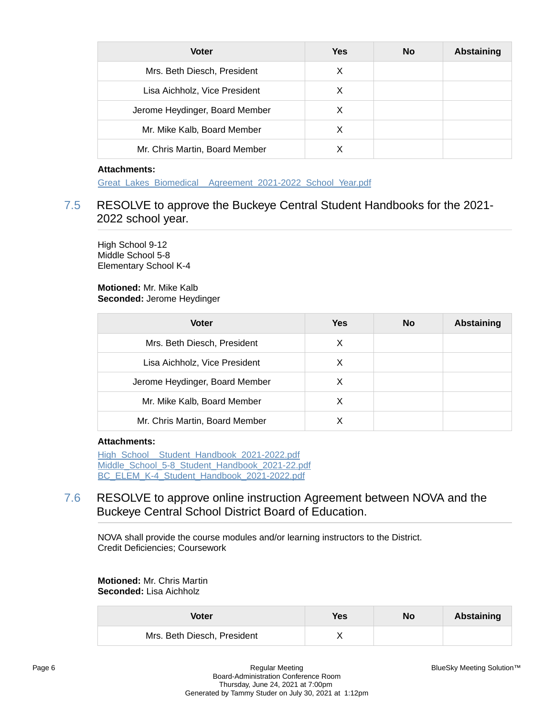| <b>Voter</b>                   | Yes | No | <b>Abstaining</b> |
|--------------------------------|-----|----|-------------------|
| Mrs. Beth Diesch, President    | X   |    |                   |
| Lisa Aichholz, Vice President  | X   |    |                   |
| Jerome Heydinger, Board Member | X   |    |                   |
| Mr. Mike Kalb, Board Member    | х   |    |                   |
| Mr. Chris Martin, Board Member |     |    |                   |

[Great\\_Lakes\\_Biomedical\\_\\_Agreement\\_2021-2022\\_School\\_Year.pdf](https://bcbucks.blueskymeeting.com/meeting_groups/32/item_attachments/58458)

# 7.5 RESOLVE to approve the Buckeye Central Student Handbooks for the 2021- 2022 school year.

High School 9-12 Middle School 5-8 Elementary School K-4

**Motioned:** Mr. Mike Kalb **Seconded:** Jerome Heydinger

| <b>Voter</b>                   | <b>Yes</b> | <b>No</b> | <b>Abstaining</b> |
|--------------------------------|------------|-----------|-------------------|
| Mrs. Beth Diesch, President    | X          |           |                   |
| Lisa Aichholz, Vice President  | X          |           |                   |
| Jerome Heydinger, Board Member | X          |           |                   |
| Mr. Mike Kalb, Board Member    | X          |           |                   |
| Mr. Chris Martin, Board Member | x          |           |                   |

#### **Attachments:**

High\_School\_Student\_Handbook\_2021-2022.pdf [Middle\\_School\\_5-8\\_Student\\_Handbook\\_2021-22.pdf](https://bcbucks.blueskymeeting.com/meeting_groups/32/item_attachments/58662) [BC\\_ELEM\\_K-4\\_Student\\_Handbook\\_2021-2022.pdf](https://bcbucks.blueskymeeting.com/meeting_groups/32/item_attachments/58693)

# 7.6 RESOLVE to approve online instruction Agreement between NOVA and the Buckeye Central School District Board of Education.

NOVA shall provide the course modules and/or learning instructors to the District. Credit Deficiencies; Coursework

## **Motioned:** Mr. Chris Martin **Seconded:** Lisa Aichholz

| Voter                       | Yes | <b>No</b> | Abstaining |
|-----------------------------|-----|-----------|------------|
| Mrs. Beth Diesch, President |     |           |            |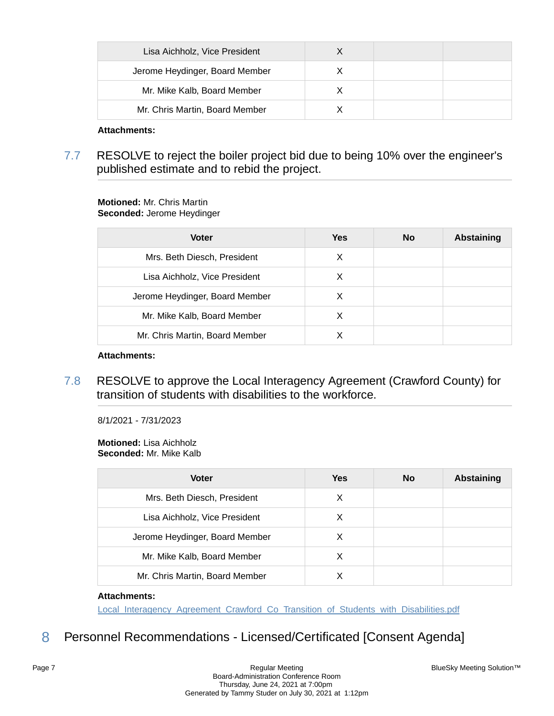| Lisa Aichholz, Vice President  |  |  |
|--------------------------------|--|--|
| Jerome Heydinger, Board Member |  |  |
| Mr. Mike Kalb, Board Member    |  |  |
| Mr. Chris Martin, Board Member |  |  |

7.7 RESOLVE to reject the boiler project bid due to being 10% over the engineer's published estimate and to rebid the project.

## **Motioned:** Mr. Chris Martin **Seconded:** Jerome Heydinger

| <b>Voter</b>                   | Yes | <b>No</b> | <b>Abstaining</b> |
|--------------------------------|-----|-----------|-------------------|
| Mrs. Beth Diesch, President    | X   |           |                   |
| Lisa Aichholz, Vice President  | х   |           |                   |
| Jerome Heydinger, Board Member | X   |           |                   |
| Mr. Mike Kalb, Board Member    | X   |           |                   |
| Mr. Chris Martin, Board Member |     |           |                   |

## **Attachments:**

7.8 RESOLVE to approve the Local Interagency Agreement (Crawford County) for transition of students with disabilities to the workforce.

8/1/2021 - 7/31/2023

#### **Motioned:** Lisa Aichholz **Seconded:** Mr. Mike Kalb

| <b>Voter</b>                   | Yes | No | <b>Abstaining</b> |
|--------------------------------|-----|----|-------------------|
| Mrs. Beth Diesch, President    | X   |    |                   |
| Lisa Aichholz, Vice President  | X   |    |                   |
| Jerome Heydinger, Board Member | X   |    |                   |
| Mr. Mike Kalb, Board Member    | X   |    |                   |
| Mr. Chris Martin, Board Member |     |    |                   |

## **Attachments:**

[Local\\_Interagency\\_Agreement\\_Crawford\\_Co\\_Transition\\_of\\_Students\\_with\\_Disabilities.pdf](https://bcbucks.blueskymeeting.com/meeting_groups/32/item_attachments/58780)

8 Personnel Recommendations - Licensed/Certificated [Consent Agenda]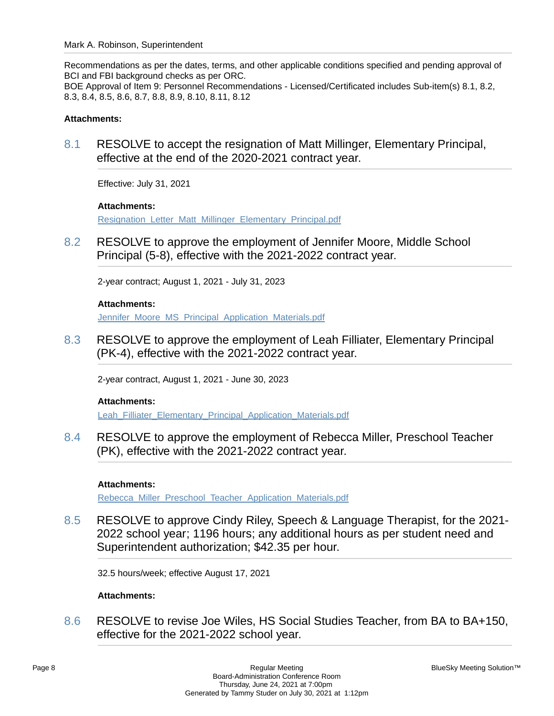Recommendations as per the dates, terms, and other applicable conditions specified and pending approval of BCI and FBI background checks as per ORC. BOE Approval of Item 9: Personnel Recommendations - Licensed/Certificated includes Sub-item(s) 8.1, 8.2, 8.3, 8.4, 8.5, 8.6, 8.7, 8.8, 8.9, 8.10, 8.11, 8.12

## **Attachments:**

8.1 RESOLVE to accept the resignation of Matt Millinger, Elementary Principal, effective at the end of the 2020-2021 contract year.

Effective: July 31, 2021

## **Attachments:**

[Resignation\\_Letter\\_Matt\\_Millinger\\_Elementary\\_Principal.pdf](https://bcbucks.blueskymeeting.com/meeting_groups/32/item_attachments/58469)

8.2 RESOLVE to approve the employment of Jennifer Moore, Middle School Principal (5-8), effective with the 2021-2022 contract year.

2-year contract; August 1, 2021 - July 31, 2023

## **Attachments:**

[Jennifer\\_Moore\\_MS\\_Principal\\_Application\\_Materials.pdf](https://bcbucks.blueskymeeting.com/meeting_groups/32/item_attachments/58417)

8.3 RESOLVE to approve the employment of Leah Filliater, Elementary Principal (PK-4), effective with the 2021-2022 contract year.

2-year contract, August 1, 2021 - June 30, 2023

#### **Attachments:**

[Leah\\_Filliater\\_Elementary\\_Principal\\_Application\\_Materials.pdf](https://bcbucks.blueskymeeting.com/meeting_groups/32/item_attachments/58714)

8.4 RESOLVE to approve the employment of Rebecca Miller, Preschool Teacher (PK), effective with the 2021-2022 contract year.

#### **Attachments:**

[Rebecca\\_Miller\\_Preschool\\_Teacher\\_Application\\_Materials.pdf](https://bcbucks.blueskymeeting.com/meeting_groups/32/item_attachments/58471)

8.5 RESOLVE to approve Cindy Riley, Speech & Language Therapist, for the 2021- 2022 school year; 1196 hours; any additional hours as per student need and Superintendent authorization; \$42.35 per hour.

32.5 hours/week; effective August 17, 2021

## **Attachments:**

8.6 RESOLVE to revise Joe Wiles, HS Social Studies Teacher, from BA to BA+150, effective for the 2021-2022 school year.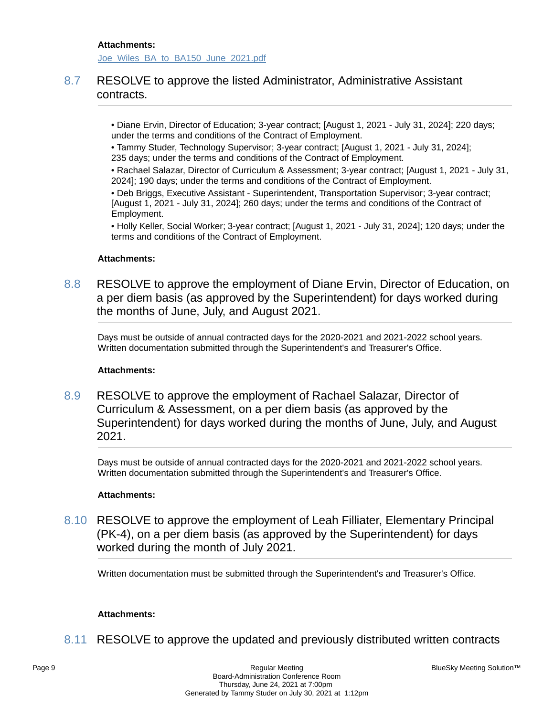[Joe\\_Wiles\\_BA\\_to\\_BA150\\_June\\_2021.pdf](https://bcbucks.blueskymeeting.com/meeting_groups/32/item_attachments/58162)

# 8.7 RESOLVE to approve the listed Administrator, Administrative Assistant contracts.

• Diane Ervin, Director of Education; 3-year contract; [August 1, 2021 - July 31, 2024]; 220 days; under the terms and conditions of the Contract of Employment.

• Tammy Studer, Technology Supervisor; 3-year contract; [August 1, 2021 - July 31, 2024]; 235 days; under the terms and conditions of the Contract of Employment.

• Rachael Salazar, Director of Curriculum & Assessment; 3-year contract; [August 1, 2021 - July 31, 2024]; 190 days; under the terms and conditions of the Contract of Employment.

• Deb Briggs, Executive Assistant - Superintendent, Transportation Supervisor; 3-year contract; [August 1, 2021 - July 31, 2024]; 260 days; under the terms and conditions of the Contract of Employment.

• Holly Keller, Social Worker; 3-year contract; [August 1, 2021 - July 31, 2024]; 120 days; under the terms and conditions of the Contract of Employment.

## **Attachments:**

8.8 RESOLVE to approve the employment of Diane Ervin, Director of Education, on a per diem basis (as approved by the Superintendent) for days worked during the months of June, July, and August 2021.

Days must be outside of annual contracted days for the 2020-2021 and 2021-2022 school years. Written documentation submitted through the Superintendent's and Treasurer's Office.

## **Attachments:**

8.9 RESOLVE to approve the employment of Rachael Salazar, Director of Curriculum & Assessment, on a per diem basis (as approved by the Superintendent) for days worked during the months of June, July, and August 2021.

Days must be outside of annual contracted days for the 2020-2021 and 2021-2022 school years. Written documentation submitted through the Superintendent's and Treasurer's Office.

#### **Attachments:**

8.10 RESOLVE to approve the employment of Leah Filliater, Elementary Principal (PK-4), on a per diem basis (as approved by the Superintendent) for days worked during the month of July 2021.

Written documentation must be submitted through the Superintendent's and Treasurer's Office.

#### **Attachments:**

8.11 RESOLVE to approve the updated and previously distributed written contracts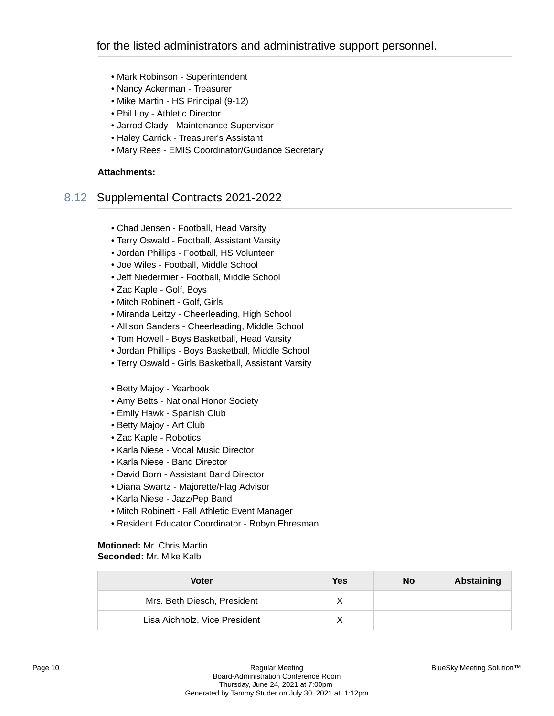- Mark Robinson Superintendent
- Nancy Ackerman Treasurer
- Mike Martin HS Principal (9-12)
- Phil Loy Athletic Director
- Jarrod Clady Maintenance Supervisor
- Haley Carrick Treasurer's Assistant
- Mary Rees EMIS Coordinator/Guidance Secretary

# 8.12 Supplemental Contracts 2021-2022

- Chad Jensen Football, Head Varsity
- Terry Oswald Football, Assistant Varsity
- Jordan Phillips Football, HS Volunteer
- Joe Wiles Football, Middle School
- Jeff Niedermier Football, Middle School
- Zac Kaple Golf, Boys
- Mitch Robinett Golf, Girls
- Miranda Leitzy Cheerleading, High School
- Allison Sanders Cheerleading, Middle School
- Tom Howell Boys Basketball, Head Varsity
- Jordan Phillips Boys Basketball, Middle School
- Terry Oswald Girls Basketball, Assistant Varsity
- Betty Majoy Yearbook
- Amy Betts National Honor Society
- Emily Hawk Spanish Club
- Betty Majoy Art Club
- Zac Kaple Robotics
- Karla Niese Vocal Music Director
- Karla Niese Band Director
- David Born Assistant Band Director
- Diana Swartz Majorette/Flag Advisor
- Karla Niese Jazz/Pep Band
- Mitch Robinett Fall Athletic Event Manager
- Resident Educator Coordinator Robyn Ehresman

#### **Motioned:** Mr. Chris Martin **Seconded:** Mr. Mike Kalb

| <b>Voter</b>                  | Yes | <b>No</b> | Abstaining |
|-------------------------------|-----|-----------|------------|
| Mrs. Beth Diesch, President   |     |           |            |
| Lisa Aichholz, Vice President |     |           |            |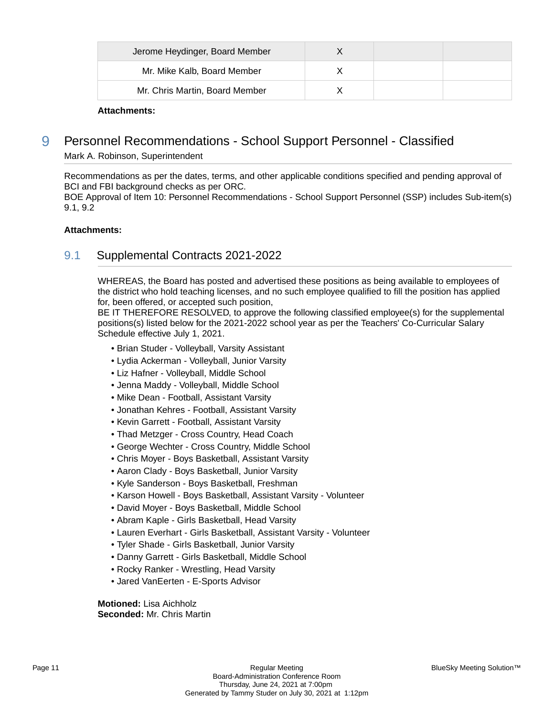| Jerome Heydinger, Board Member |  |  |
|--------------------------------|--|--|
| Mr. Mike Kalb, Board Member    |  |  |
| Mr. Chris Martin, Board Member |  |  |

# 9 Personnel Recommendations - School Support Personnel - Classified

Mark A. Robinson, Superintendent

Recommendations as per the dates, terms, and other applicable conditions specified and pending approval of BCI and FBI background checks as per ORC.

BOE Approval of Item 10: Personnel Recommendations - School Support Personnel (SSP) includes Sub-item(s) 9.1, 9.2

## **Attachments:**

# 9.1 Supplemental Contracts 2021-2022

WHEREAS, the Board has posted and advertised these positions as being available to employees of the district who hold teaching licenses, and no such employee qualified to fill the position has applied for, been offered, or accepted such position,

BE IT THEREFORE RESOLVED, to approve the following classified employee(s) for the supplemental positions(s) listed below for the 2021-2022 school year as per the Teachers' Co-Curricular Salary Schedule effective July 1, 2021.

- Brian Studer Volleyball, Varsity Assistant
- Lydia Ackerman Volleyball, Junior Varsity
- Liz Hafner Volleyball, Middle School
- Jenna Maddy Volleyball, Middle School
- Mike Dean Football, Assistant Varsity
- Jonathan Kehres Football, Assistant Varsity
- Kevin Garrett Football, Assistant Varsity
- Thad Metzger Cross Country, Head Coach
- George Wechter Cross Country, Middle School
- Chris Moyer Boys Basketball, Assistant Varsity
- Aaron Clady Boys Basketball, Junior Varsity
- Kyle Sanderson Boys Basketball, Freshman
- Karson Howell Boys Basketball, Assistant Varsity Volunteer
- David Moyer Boys Basketball, Middle School
- Abram Kaple Girls Basketball, Head Varsity
- Lauren Everhart Girls Basketball, Assistant Varsity Volunteer
- Tyler Shade Girls Basketball, Junior Varsity
- Danny Garrett Girls Basketball, Middle School
- Rocky Ranker Wrestling, Head Varsity
- Jared VanEerten E-Sports Advisor

**Motioned:** Lisa Aichholz **Seconded:** Mr. Chris Martin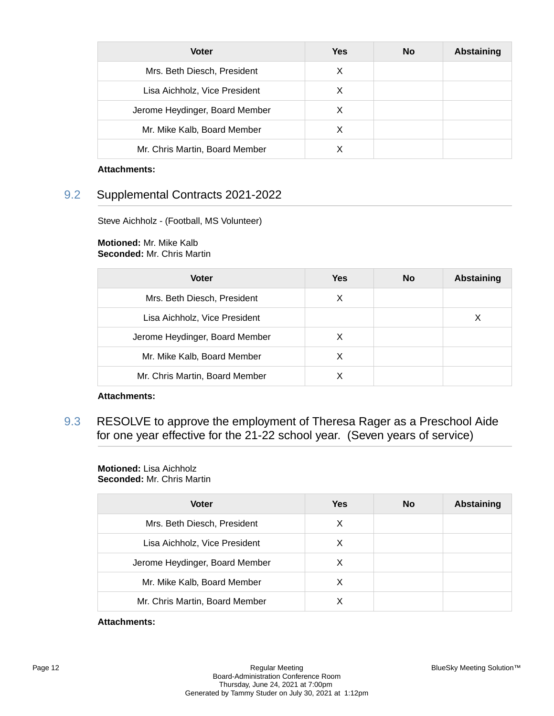| <b>Voter</b>                   | <b>Yes</b> | <b>No</b> | <b>Abstaining</b> |
|--------------------------------|------------|-----------|-------------------|
| Mrs. Beth Diesch, President    | X          |           |                   |
| Lisa Aichholz, Vice President  | X          |           |                   |
| Jerome Heydinger, Board Member | X          |           |                   |
| Mr. Mike Kalb, Board Member    | X          |           |                   |
| Mr. Chris Martin, Board Member | х          |           |                   |

# 9.2 Supplemental Contracts 2021-2022

Steve Aichholz - (Football, MS Volunteer)

## **Motioned:** Mr. Mike Kalb **Seconded:** Mr. Chris Martin

| <b>Voter</b>                   | Yes | <b>No</b> | <b>Abstaining</b> |
|--------------------------------|-----|-----------|-------------------|
| Mrs. Beth Diesch, President    | X   |           |                   |
| Lisa Aichholz, Vice President  |     |           | х                 |
| Jerome Heydinger, Board Member | X   |           |                   |
| Mr. Mike Kalb, Board Member    | X   |           |                   |
| Mr. Chris Martin, Board Member |     |           |                   |

## **Attachments:**

9.3 RESOLVE to approve the employment of Theresa Rager as a Preschool Aide for one year effective for the 21-22 school year. (Seven years of service)

# **Motioned:** Lisa Aichholz

**Seconded:** Mr. Chris Martin

| <b>Voter</b>                   | <b>Yes</b> | No | <b>Abstaining</b> |
|--------------------------------|------------|----|-------------------|
| Mrs. Beth Diesch, President    | X          |    |                   |
| Lisa Aichholz, Vice President  | X          |    |                   |
| Jerome Heydinger, Board Member | X          |    |                   |
| Mr. Mike Kalb, Board Member    | X          |    |                   |
| Mr. Chris Martin, Board Member |            |    |                   |

## **Attachments:**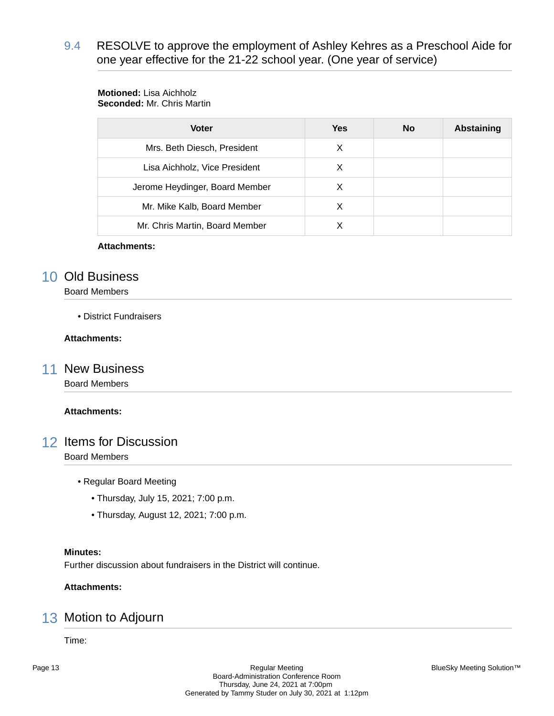9.4 RESOLVE to approve the employment of Ashley Kehres as a Preschool Aide for one year effective for the 21-22 school year. (One year of service)

# **Motioned:** Lisa Aichholz

**Seconded:** Mr. Chris Martin

| <b>Voter</b>                   | <b>Yes</b> | <b>No</b> | <b>Abstaining</b> |
|--------------------------------|------------|-----------|-------------------|
| Mrs. Beth Diesch, President    | х          |           |                   |
| Lisa Aichholz, Vice President  | X          |           |                   |
| Jerome Heydinger, Board Member | х          |           |                   |
| Mr. Mike Kalb, Board Member    | х          |           |                   |
| Mr. Chris Martin, Board Member |            |           |                   |

## **Attachments:**

# 10 Old Business

Board Members

• District Fundraisers

## **Attachments:**

## 11 New Business

Board Members

## **Attachments:**

## 12 Items for Discussion

Board Members

- Regular Board Meeting
	- Thursday, July 15, 2021; 7:00 p.m.
	- Thursday, August 12, 2021; 7:00 p.m.

## **Minutes:**

Further discussion about fundraisers in the District will continue.

## **Attachments:**

# 13 Motion to Adjourn

Time: